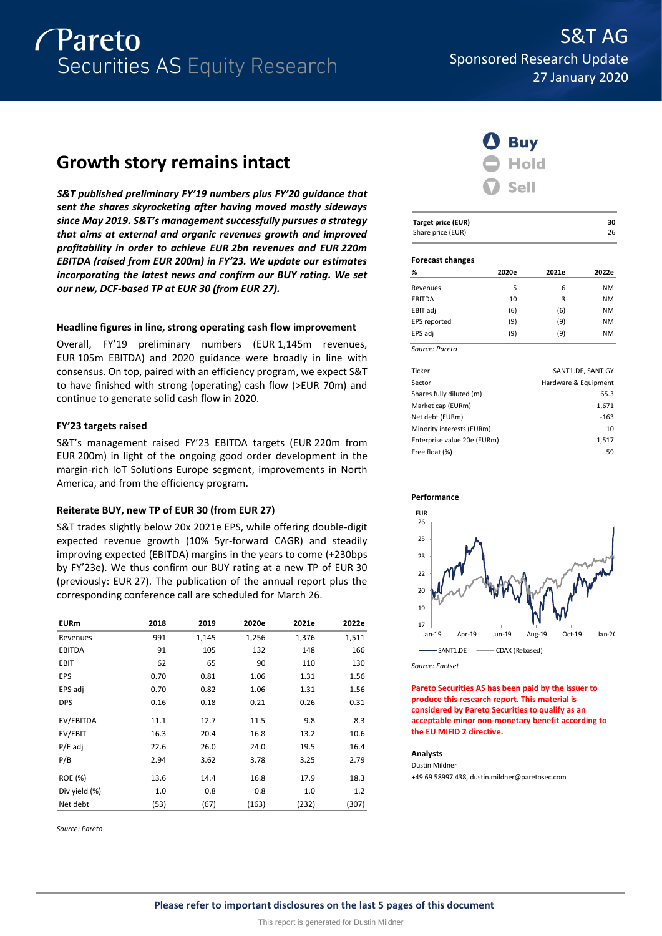# Pareto Securities AS Equity Research

# **Growth story remains intact**

*S&T published preliminary FY'19 numbers plus FY'20 guidance that sent the shares skyrocketing after having moved mostly sideways since May 2019. S&T's management successfully pursues a strategy that aims at external and organic revenues growth and improved profitability in order to achieve EUR 2bn revenues and EUR 220m EBITDA (raised from EUR 200m) in FY'23. We update our estimates incorporating the latest news and confirm our BUY rating. We set our new, DCF-based TP at EUR 30 (from EUR 27).*

# **Headline figures in line, strong operating cash flow improvement**

Overall, FY'19 preliminary numbers (EUR 1,145m revenues, EUR 105m EBITDA) and 2020 guidance were broadly in line with consensus. On top, paired with an efficiency program, we expect S&T to have finished with strong (operating) cash flow (>EUR 70m) and continue to generate solid cash flow in 2020.

# **FY'23 targets raised**

S&T's management raised FY'23 EBITDA targets (EUR 220m from EUR 200m) in light of the ongoing good order development in the margin-rich IoT Solutions Europe segment, improvements in North America, and from the efficiency program.

# **Reiterate BUY, new TP of EUR 30 (from EUR 27)**

S&T trades slightly below 20x 2021e EPS, while offering double-digit expected revenue growth (10% 5yr-forward CAGR) and steadily improving expected (EBITDA) margins in the years to come (+230bps by FY'23e). We thus confirm our BUY rating at a new TP of EUR 30 (previously: EUR 27). The publication of the annual report plus the corresponding conference call are scheduled for March 26.

| <b>EURm</b>   | 2018 | 2019  | 2020e | 2021e | 2022e |
|---------------|------|-------|-------|-------|-------|
| Revenues      | 991  | 1,145 | 1,256 | 1,376 | 1,511 |
| <b>EBITDA</b> | 91   | 105   | 132   | 148   | 166   |
| EBIT          | 62   | 65    | 90    | 110   | 130   |
| EPS           | 0.70 | 0.81  | 1.06  | 1.31  | 1.56  |
| EPS adj       | 0.70 | 0.82  | 1.06  | 1.31  | 1.56  |
| <b>DPS</b>    | 0.16 | 0.18  | 0.21  | 0.26  | 0.31  |
| EV/EBITDA     | 11.1 | 12.7  | 11.5  | 9.8   | 8.3   |
| EV/EBIT       | 16.3 | 20.4  | 16.8  | 13.2  | 10.6  |
| $P/E$ adj     | 22.6 | 26.0  | 24.0  | 19.5  | 16.4  |
| P/B           | 2.94 | 3.62  | 3.78  | 3.25  | 2.79  |
| ROE (%)       | 13.6 | 14.4  | 16.8  | 17.9  | 18.3  |
| Div yield (%) | 1.0  | 0.8   | 0.8   | 1.0   | 1.2   |
| Net debt      | (53) | (67)  | (163) | (232) | (307) |

*Source: Pareto*



| <b>Target price (EUR)</b> | 30 |
|---------------------------|----|
| Share price (EUR)         | 26 |

## **Forecast changes**

| %              | 2020e | 2021e | 2022e     |
|----------------|-------|-------|-----------|
| Revenues       | 5     | 6     | <b>NM</b> |
| EBITDA         | 10    | 3     | <b>NM</b> |
| EBIT adj       | (6)   | (6)   | <b>NM</b> |
| EPS reported   | (9)   | (9)   | <b>NM</b> |
| EPS adj        | (9)   | (9)   | <b>NM</b> |
| Source: Pareto |       |       |           |

| Ticker                      | SANT1.DE, SANT GY    |
|-----------------------------|----------------------|
| Sector                      | Hardware & Equipment |
| Shares fully diluted (m)    | 65.3                 |
| Market cap (EURm)           | 1,671                |
| Net debt (EURm)             | $-163$               |
| Minority interests (EURm)   | 10                   |
| Enterprise value 20e (EURm) | 1,517                |
| Free float (%)              | 59                   |
|                             |                      |



*Source: Factset*

**Pareto Securities AS has been paid by the issuer to produce this research report. This material is considered by Pareto Securities to qualify as an acceptable minor non-monetary benefit according to the EU MIFID 2 directive.**

## **Analysts**

Dustin Mildner +49 69 58997 438, dustin.mildner@paretosec.com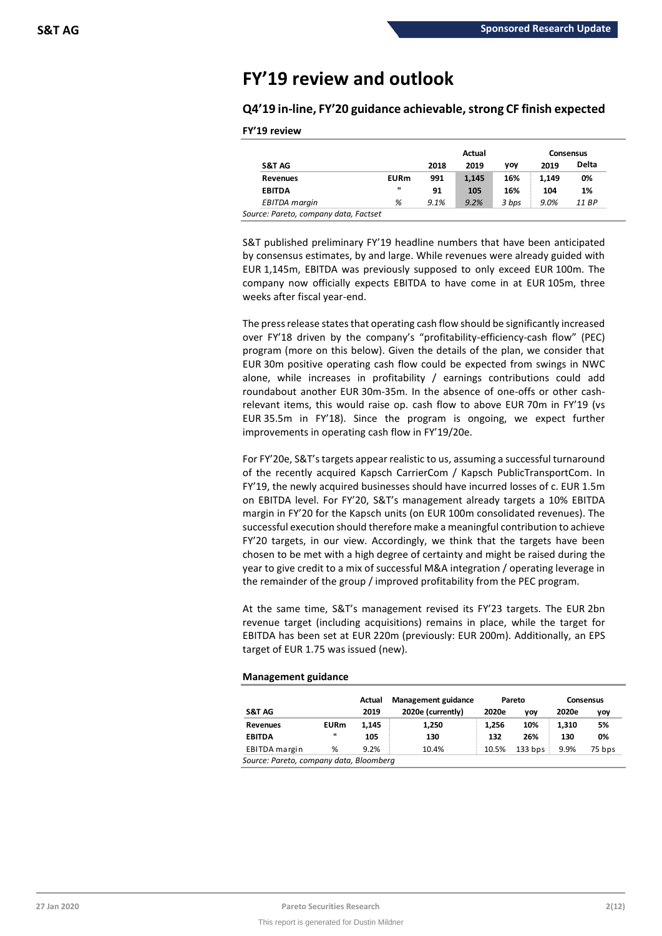# **FY'19 review and outlook**

**Q4'19 in-line, FY'20 guidance achievable,strong CF finish expected**

|                      |              |      | Actual |            | Consensus |       |  |
|----------------------|--------------|------|--------|------------|-----------|-------|--|
| S&T AG               |              | 2018 | 2019   | <b>VOV</b> | 2019      | Delta |  |
| <b>Revenues</b>      | <b>EURm</b>  | 991  | 1,145  | 16%        | 1.149     | 0%    |  |
| <b>EBITDA</b>        | $\mathbf{u}$ | 91   | 105    | 16%        | 104       | 1%    |  |
| <b>EBITDA</b> margin | %            | 9.1% | 9.2%   | 3 bps      | 9.0%      | 11 BP |  |

S&T published preliminary FY'19 headline numbers that have been anticipated by consensus estimates, by and large. While revenues were already guided with EUR 1,145m, EBITDA was previously supposed to only exceed EUR 100m. The company now officially expects EBITDA to have come in at EUR 105m, three weeks after fiscal year-end.

The press release states that operating cash flow should be significantly increased over FY'18 driven by the company's "profitability-efficiency-cash flow" (PEC) program (more on this below). Given the details of the plan, we consider that EUR 30m positive operating cash flow could be expected from swings in NWC alone, while increases in profitability / earnings contributions could add roundabout another EUR 30m-35m. In the absence of one-offs or other cashrelevant items, this would raise op. cash flow to above EUR 70m in FY'19 (vs EUR 35.5m in FY'18). Since the program is ongoing, we expect further improvements in operating cash flow in FY'19/20e.

For FY'20e, S&T's targets appear realistic to us, assuming a successful turnaround of the recently acquired Kapsch CarrierCom / Kapsch PublicTransportCom. In FY'19, the newly acquired businesses should have incurred losses of c. EUR 1.5m on EBITDA level. For FY'20, S&T's management already targets a 10% EBITDA margin in FY'20 for the Kapsch units (on EUR 100m consolidated revenues). The successful execution should therefore make a meaningful contribution to achieve FY'20 targets, in our view. Accordingly, we think that the targets have been chosen to be met with a high degree of certainty and might be raised during the year to give credit to a mix of successful M&A integration / operating leverage in the remainder of the group / improved profitability from the PEC program.

At the same time, S&T's management revised its FY'23 targets. The EUR 2bn revenue target (including acquisitions) remains in place, while the target for EBITDA has been set at EUR 220m (previously: EUR 200m). Additionally, an EPS target of EUR 1.75 was issued (new).

# **Management guidance**

|             | Actual | <b>Management guidance</b> | Pareto |            | <b>Consensus</b> |        |
|-------------|--------|----------------------------|--------|------------|------------------|--------|
|             | 2019   | 2020e (currently)          | 2020e  | <b>VOV</b> | 2020e            | yoy    |
| <b>EURm</b> | 1.145  | 1,250                      | 1.256  | 10%        | 1.310            | 5%     |
|             | 105    | 130                        | 132    | 26%        | 130              | 0%     |
| %           | 9.2%   | 10.4%                      | 10.5%  | $133$ bps  | 9.9%             | 75 bps |
|             |        |                            |        |            |                  |        |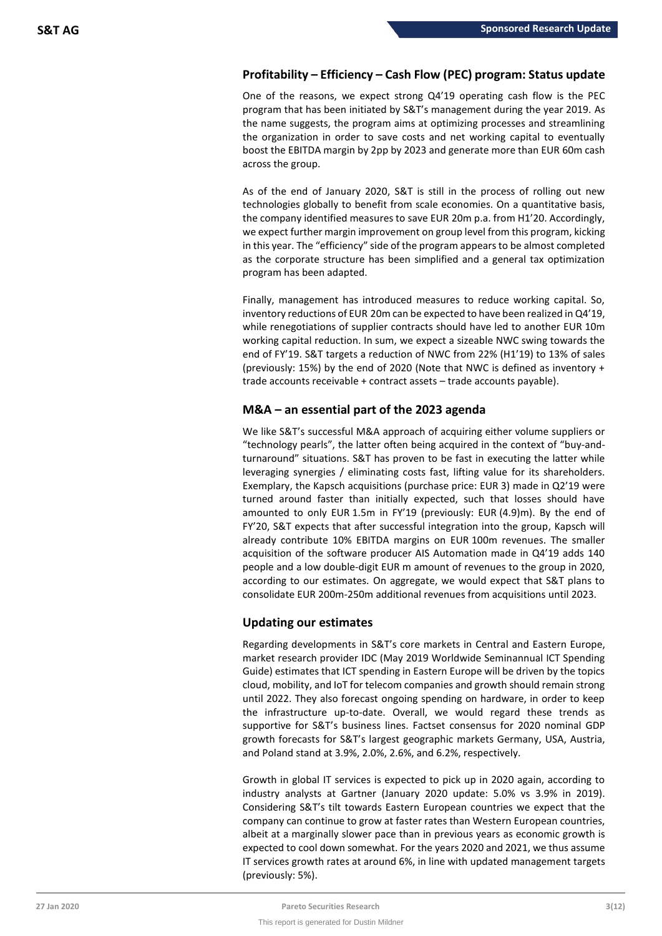# **Profitability – Efficiency – Cash Flow (PEC) program: Status update**

One of the reasons, we expect strong Q4'19 operating cash flow is the PEC program that has been initiated by S&T's management during the year 2019. As the name suggests, the program aims at optimizing processes and streamlining the organization in order to save costs and net working capital to eventually boost the EBITDA margin by 2pp by 2023 and generate more than EUR 60m cash across the group.

As of the end of January 2020, S&T is still in the process of rolling out new technologies globally to benefit from scale economies. On a quantitative basis, the company identified measures to save EUR 20m p.a. from H1'20. Accordingly, we expect further margin improvement on group level from this program, kicking in this year. The "efficiency" side of the program appears to be almost completed as the corporate structure has been simplified and a general tax optimization program has been adapted.

Finally, management has introduced measures to reduce working capital. So, inventory reductions of EUR 20m can be expected to have been realized in Q4'19, while renegotiations of supplier contracts should have led to another EUR 10m working capital reduction. In sum, we expect a sizeable NWC swing towards the end of FY'19. S&T targets a reduction of NWC from 22% (H1'19) to 13% of sales (previously: 15%) by the end of 2020 (Note that NWC is defined as inventory + trade accounts receivable + contract assets – trade accounts payable).

# **M&A – an essential part of the 2023 agenda**

We like S&T's successful M&A approach of acquiring either volume suppliers or "technology pearls", the latter often being acquired in the context of "buy-andturnaround" situations. S&T has proven to be fast in executing the latter while leveraging synergies / eliminating costs fast, lifting value for its shareholders. Exemplary, the Kapsch acquisitions (purchase price: EUR 3) made in Q2'19 were turned around faster than initially expected, such that losses should have amounted to only EUR 1.5m in FY'19 (previously: EUR (4.9)m). By the end of FY'20, S&T expects that after successful integration into the group, Kapsch will already contribute 10% EBITDA margins on EUR 100m revenues. The smaller acquisition of the software producer AIS Automation made in Q4'19 adds 140 people and a low double-digit EUR m amount of revenues to the group in 2020, according to our estimates. On aggregate, we would expect that S&T plans to consolidate EUR 200m-250m additional revenues from acquisitions until 2023.

# **Updating our estimates**

Regarding developments in S&T's core markets in Central and Eastern Europe, market research provider IDC (May 2019 Worldwide Seminannual ICT Spending Guide) estimates that ICT spending in Eastern Europe will be driven by the topics cloud, mobility, and IoT for telecom companies and growth should remain strong until 2022. They also forecast ongoing spending on hardware, in order to keep the infrastructure up-to-date. Overall, we would regard these trends as supportive for S&T's business lines. Factset consensus for 2020 nominal GDP growth forecasts for S&T's largest geographic markets Germany, USA, Austria, and Poland stand at 3.9%, 2.0%, 2.6%, and 6.2%, respectively.

Growth in global IT services is expected to pick up in 2020 again, according to industry analysts at Gartner (January 2020 update: 5.0% vs 3.9% in 2019). Considering S&T's tilt towards Eastern European countries we expect that the company can continue to grow at faster rates than Western European countries, albeit at a marginally slower pace than in previous years as economic growth is expected to cool down somewhat. For the years 2020 and 2021, we thus assume IT services growth rates at around 6%, in line with updated management targets (previously: 5%).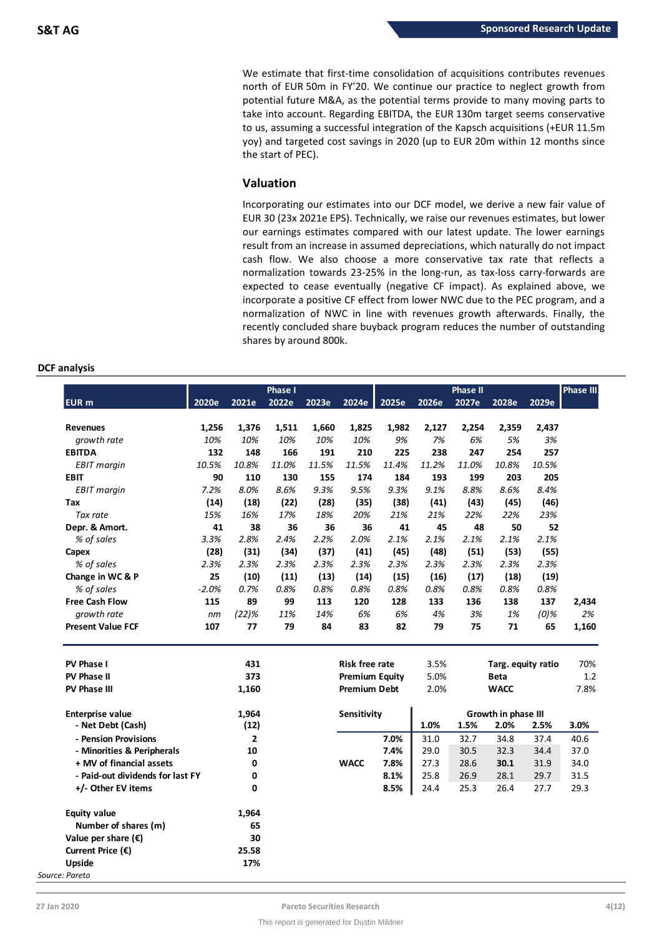We estimate that first-time consolidation of acquisitions contributes revenues north of EUR 50m in FY'20. We continue our practice to neglect growth from potential future M&A, as the potential terms provide to many moving parts to take into account. Regarding EBITDA, the EUR 130m target seems conservative to us, assuming a successful integration of the Kapsch acquisitions (+EUR 11.5m yoy) and targeted cost savings in 2020 (up to EUR 20m within 12 months since the start of PEC).

# **Valuation**

Incorporating our estimates into our DCF model, we derive a new fair value of EUR 30 (23x 2021e EPS). Technically, we raise our revenues estimates, but lower our earnings estimates compared with our latest update. The lower earnings result from an increase in assumed depreciations, which naturally do not impact cash flow. We also choose a more conservative tax rate that reflects a normalization towards 23-25% in the long-run, as tax-loss carry-forwards are expected to cease eventually (negative CF impact). As explained above, we incorporate a positive CF effect from lower NWC due to the PEC program, and a normalization of NWC in line with revenues growth afterwards. Finally, the recently concluded share buyback program reduces the number of outstanding shares by around 800k.

# **DCF analysis**

|                                  |         |              | <b>Phase I</b> |       |                       |       |       | <b>Phase II</b> |                     |         | <b>Phase III</b> |
|----------------------------------|---------|--------------|----------------|-------|-----------------------|-------|-------|-----------------|---------------------|---------|------------------|
| <b>EUR</b> m                     | 2020e   | 2021e        | 2022e          | 2023e | 2024e                 | 2025e | 2026e | 2027e           | 2028e               | 2029e   |                  |
|                                  |         |              |                |       |                       |       |       |                 |                     |         |                  |
| <b>Revenues</b>                  | 1,256   | 1,376        | 1,511          | 1,660 | 1,825                 | 1,982 | 2,127 | 2,254           | 2,359               | 2,437   |                  |
| growth rate                      | 10%     | 10%          | 10%            | 10%   | 10%                   | 9%    | 7%    | 6%              | 5%                  | 3%      |                  |
| <b>EBITDA</b>                    | 132     | 148          | 166            | 191   | 210                   | 225   | 238   | 247             | 254                 | 257     |                  |
| <b>EBIT</b> margin               | 10.5%   | 10.8%        | 11.0%          | 11.5% | 11.5%                 | 11.4% | 11.2% | 11.0%           | 10.8%               | 10.5%   |                  |
| <b>EBIT</b>                      | 90      | 110          | 130            | 155   | 174                   | 184   | 193   | 199             | 203                 | 205     |                  |
| <b>EBIT</b> margin               | 7.2%    | 8.0%         | 8.6%           | 9.3%  | 9.5%                  | 9.3%  | 9.1%  | 8.8%            | 8.6%                | 8.4%    |                  |
| Tax                              | (14)    | (18)         | (22)           | (28)  | (35)                  | (38)  | (41)  | (43)            | (45)                | (46)    |                  |
| Tax rate                         | 15%     | 16%          | 17%            | 18%   | 20%                   | 21%   | 21%   | 22%             | 22%                 | 23%     |                  |
| Depr. & Amort.                   | 41      | 38           | 36             | 36    | 36                    | 41    | 45    | 48              | 50                  | 52      |                  |
| % of sales                       | 3.3%    | 2.8%         | 2.4%           | 2.2%  | 2.0%                  | 2.1%  | 2.1%  | 2.1%            | 2.1%                | 2.1%    |                  |
| Capex                            | (28)    | (31)         | (34)           | (37)  | (41)                  | (45)  | (48)  | (51)            | (53)                | (55)    |                  |
| % of sales                       | 2.3%    | 2.3%         | 2.3%           | 2.3%  | 2.3%                  | 2.3%  | 2.3%  | 2.3%            | 2.3%                | 2.3%    |                  |
| Change in WC & P                 | 25      | (10)         | (11)           | (13)  | (14)                  | (15)  | (16)  | (17)            | (18)                | (19)    |                  |
| % of sales                       | $-2.0%$ | 0.7%         | 0.8%           | 0.8%  | 0.8%                  | 0.8%  | 0.8%  | 0.8%            | 0.8%                | 0.8%    |                  |
| <b>Free Cash Flow</b>            | 115     | 89           | 99             | 113   | 120                   | 128   | 133   | 136             | 138                 | 137     | 2,434            |
| growth rate                      | nm      | (22)%        | 11%            | 14%   | 6%                    | 6%    | 4%    | 3%              | 1%                  | $(0)$ % | 2%               |
| <b>Present Value FCF</b>         | 107     | 77           | 79             | 84    | 83                    | 82    | 79    | 75              | 71                  | 65      | 1,160            |
|                                  |         |              |                |       |                       |       |       |                 |                     |         |                  |
| <b>PV Phase I</b>                |         | 431          |                |       | <b>Risk free rate</b> |       | 3.5%  |                 | Targ. equity ratio  |         | 70%              |
| <b>PV Phase II</b>               |         | 373          |                |       | <b>Premium Equity</b> |       | 5.0%  |                 | <b>Beta</b>         |         | 1.2              |
| <b>PV Phase III</b>              |         | 1,160        |                |       | <b>Premium Debt</b>   |       | 2.0%  |                 | <b>WACC</b>         |         | 7.8%             |
| <b>Enterprise value</b>          |         | 1,964        |                |       | Sensitivity           |       |       |                 | Growth in phase III |         |                  |
| - Net Debt (Cash)                |         | (12)         |                |       |                       |       | 1.0%  | 1.5%            | 2.0%                | 2.5%    | 3.0%             |
| - Pension Provisions             |         | $\mathbf{2}$ |                |       |                       | 7.0%  | 31.0  | 32.7            | 34.8                | 37.4    | 40.6             |
| - Minorities & Peripherals       |         | 10           |                |       |                       | 7.4%  | 29.0  | 30.5            | 32.3                | 34.4    | 37.0             |
| + MV of financial assets         |         | 0            |                |       | <b>WACC</b>           | 7.8%  | 27.3  | 28.6            | 30.1                | 31.9    | 34.0             |
| - Paid-out dividends for last FY |         | 0            |                |       |                       | 8.1%  | 25.8  | 26.9            | 28.1                | 29.7    | 31.5             |
| +/- Other EV items               |         | 0            |                |       |                       | 8.5%  | 24.4  | 25.3            | 26.4                | 27.7    | 29.3             |
|                                  |         |              |                |       |                       |       |       |                 |                     |         |                  |
| <b>Equity value</b>              |         | 1,964        |                |       |                       |       |       |                 |                     |         |                  |
| Number of shares (m)             |         | 65           |                |       |                       |       |       |                 |                     |         |                  |
| Value per share $(\epsilon)$     |         | 30           |                |       |                       |       |       |                 |                     |         |                  |
| Current Price $(\epsilon)$       |         | 25.58        |                |       |                       |       |       |                 |                     |         |                  |
| Upside                           |         | 17%          |                |       |                       |       |       |                 |                     |         |                  |
| e: Pareto                        |         |              |                |       |                       |       |       |                 |                     |         |                  |

*Source: Pareto*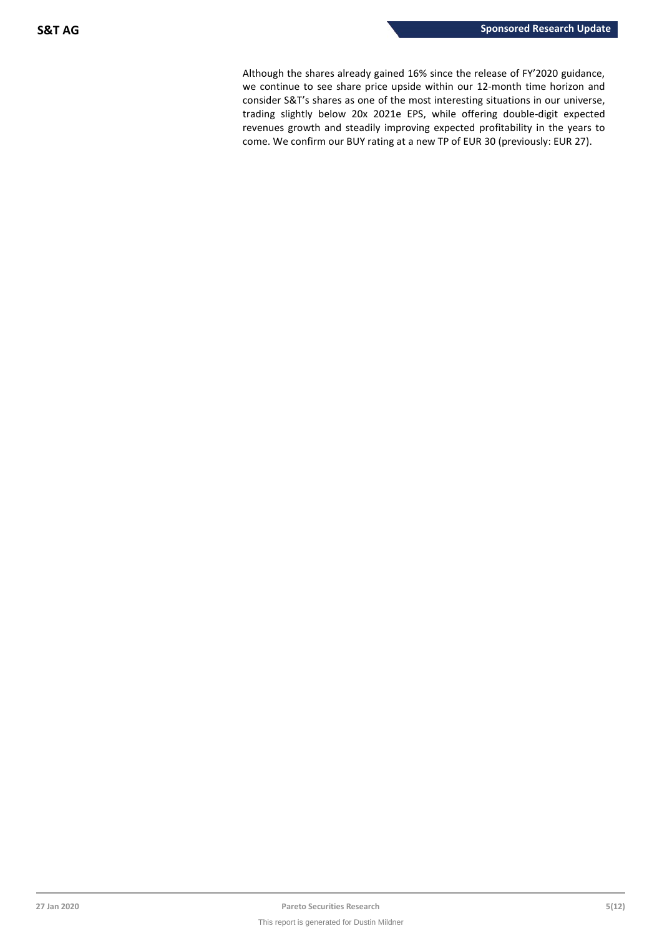Although the shares already gained 16% since the release of FY'2020 guidance, we continue to see share price upside within our 12-month time horizon and consider S&T's shares as one of the most interesting situations in our universe, trading slightly below 20x 2021e EPS, while offering double-digit expected revenues growth and steadily improving expected profitability in the years to come. We confirm our BUY rating at a new TP of EUR 30 (previously: EUR 27).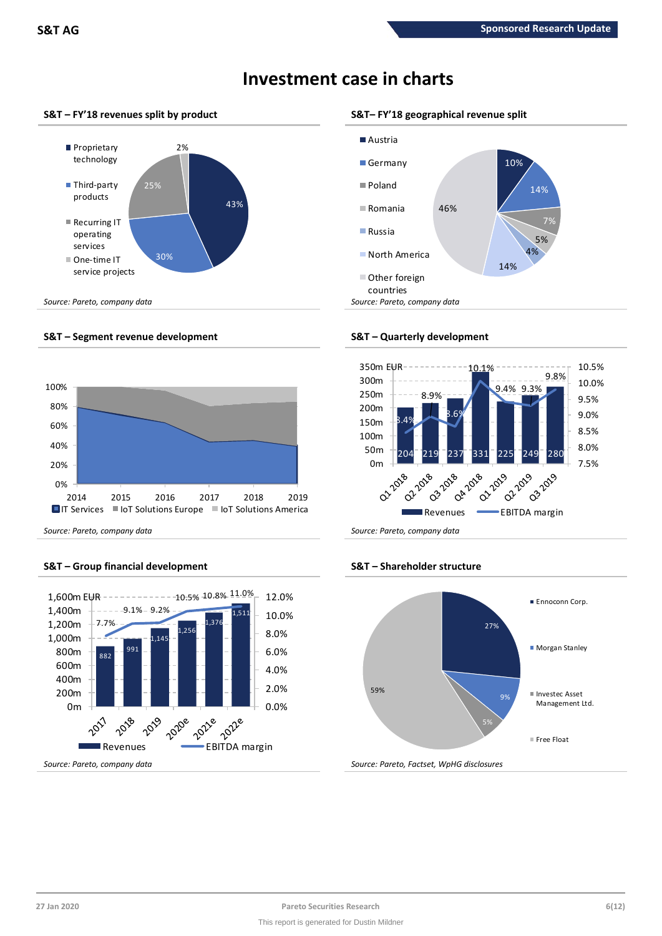

# **Investment case in charts**

# **S&T – FY'18 revenues split by product S&T– FY'18 geographical revenue split**



# **S&T – Segment revenue development S&T – Quarterly development**

service projects



*Source: Pareto, company data Source: Pareto, company data*

# **S&T – Group financial development S&T – Shareholder structure**





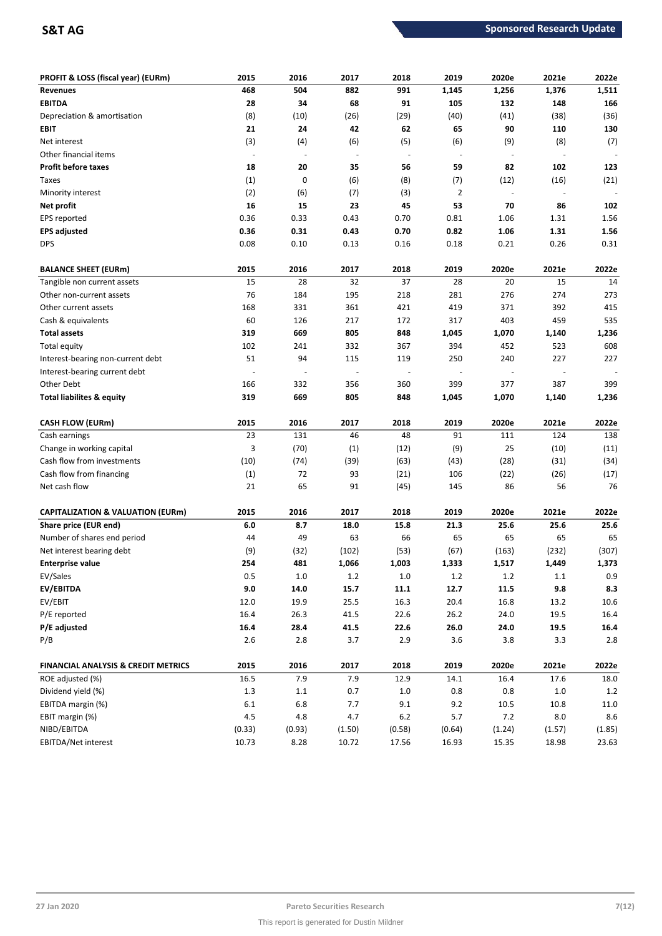| PROFIT & LOSS (fiscal year) (EURm)             | 2015                     | 2016           | 2017                     | 2018                     | 2019           | 2020e                    | 2021e                    | 2022e   |
|------------------------------------------------|--------------------------|----------------|--------------------------|--------------------------|----------------|--------------------------|--------------------------|---------|
| <b>Revenues</b>                                | 468                      | 504            | 882                      | 991                      | 1,145          | 1,256                    | 1,376                    | 1,511   |
| <b>EBITDA</b>                                  | 28                       | 34             | 68                       | 91                       | 105            | 132                      | 148                      | 166     |
| Depreciation & amortisation                    | (8)                      | (10)           | (26)                     | (29)                     | (40)           | (41)                     | (38)                     | (36)    |
| EBIT                                           | 21                       | 24             | 42                       | 62                       | 65             | 90                       | 110                      | 130     |
| Net interest                                   | (3)                      | (4)            | (6)                      | (5)                      | (6)            | (9)                      | (8)                      | (7)     |
| Other financial items                          | $\overline{\phantom{a}}$ | $\overline{a}$ | $\overline{\phantom{a}}$ | $\overline{\phantom{a}}$ | $\blacksquare$ | $\overline{\phantom{a}}$ | $\blacksquare$           |         |
| <b>Profit before taxes</b>                     | 18                       | 20             | 35                       | 56                       | 59             | 82                       | 102                      | 123     |
| Taxes                                          | (1)                      | 0              | (6)                      | (8)                      | (7)            | (12)                     | (16)                     | (21)    |
| Minority interest                              | (2)                      | (6)            | (7)                      | (3)                      | $\overline{2}$ | $\overline{\phantom{a}}$ |                          |         |
| Net profit                                     | 16                       | 15             | 23                       | 45                       | 53             | 70                       | 86                       | 102     |
| <b>EPS</b> reported                            | 0.36                     | 0.33           | 0.43                     | 0.70                     | 0.81           | 1.06                     | 1.31                     | 1.56    |
| <b>EPS adjusted</b>                            | 0.36                     | 0.31           | 0.43                     | 0.70                     | 0.82           | 1.06                     | 1.31                     | 1.56    |
| <b>DPS</b>                                     | 0.08                     | 0.10           | 0.13                     | 0.16                     | 0.18           | 0.21                     | 0.26                     | 0.31    |
| <b>BALANCE SHEET (EURm)</b>                    | 2015                     | 2016           | 2017                     | 2018                     | 2019           | 2020e                    | 2021e                    | 2022e   |
| Tangible non current assets                    | 15                       | 28             | 32                       | 37                       | 28             | 20                       | 15                       | 14      |
| Other non-current assets                       | 76                       | 184            | 195                      | 218                      | 281            | 276                      | 274                      | 273     |
| Other current assets                           | 168                      | 331            | 361                      | 421                      | 419            | 371                      | 392                      | 415     |
| Cash & equivalents                             | 60                       | 126            | 217                      | 172                      | 317            | 403                      | 459                      | 535     |
| <b>Total assets</b>                            | 319                      | 669            | 805                      | 848                      | 1,045          | 1,070                    | 1,140                    | 1,236   |
| Total equity                                   | 102                      | 241            | 332                      | 367                      | 394            | 452                      | 523                      | 608     |
| Interest-bearing non-current debt              | 51                       | 94             | 115                      | 119                      | 250            | 240                      | 227                      | 227     |
| Interest-bearing current debt                  |                          |                | $\overline{\phantom{a}}$ |                          |                | $\overline{\phantom{a}}$ | $\overline{\phantom{a}}$ |         |
| Other Debt                                     | 166                      | 332            | 356                      | 360                      | 399            | 377                      | 387                      | 399     |
| Total liabilites & equity                      | 319                      | 669            | 805                      | 848                      | 1,045          | 1,070                    | 1,140                    | 1,236   |
| <b>CASH FLOW (EURm)</b>                        | 2015                     | 2016           | 2017                     | 2018                     | 2019           | 2020e                    | 2021e                    | 2022e   |
| Cash earnings                                  | 23                       | 131            | 46                       | 48                       | 91             | 111                      | 124                      | 138     |
| Change in working capital                      | 3                        | (70)           | (1)                      | (12)                     | (9)            | 25                       | (10)                     | (11)    |
| Cash flow from investments                     | (10)                     | (74)           | (39)                     | (63)                     | (43)           | (28)                     | (31)                     | (34)    |
| Cash flow from financing                       | (1)                      | 72             | 93                       | (21)                     | 106            | (22)                     | (26)                     | (17)    |
| Net cash flow                                  | 21                       | 65             | 91                       | (45)                     | 145            | 86                       | 56                       | 76      |
| <b>CAPITALIZATION &amp; VALUATION (EURm)</b>   | 2015                     | 2016           | 2017                     | 2018                     | 2019           | 2020e                    | 2021e                    | 2022e   |
| Share price (EUR end)                          | $6.0$                    | 8.7            | 18.0                     | 15.8                     | 21.3           | 25.6                     | 25.6                     | 25.6    |
| Number of shares end period                    | 44                       | 49             | 63                       | 66                       | 65             | 65                       | 65                       | 65      |
| Net interest bearing debt                      | (9)                      | (32)           | (102)                    | (53)                     | (67)           | (163)                    | (232)                    | (307)   |
| <b>Enterprise value</b>                        | 254                      | 481            | 1,066                    | 1,003                    | 1,333          | 1,517                    | 1,449                    | 1,373   |
| EV/Sales                                       | 0.5                      | $1.0\,$        | $1.2\,$                  | $1.0\,$                  | $1.2\,$        | $1.2\,$                  | $1.1\,$                  | 0.9     |
| EV/EBITDA                                      | $9.0\,$                  | 14.0           | 15.7                     | 11.1                     | 12.7           | 11.5                     | 9.8                      | 8.3     |
| EV/EBIT                                        | 12.0                     | 19.9           | 25.5                     | 16.3                     | 20.4           | 16.8                     | 13.2                     | 10.6    |
| P/E reported                                   | 16.4                     | 26.3           | 41.5                     | 22.6                     | 26.2           | 24.0                     | 19.5                     | 16.4    |
| P/E adjusted                                   | 16.4                     | 28.4           | 41.5                     | 22.6                     | 26.0           | 24.0                     | 19.5                     | 16.4    |
| P/B                                            | $2.6\,$                  | $2.8\,$        | 3.7                      | 2.9                      | 3.6            | 3.8                      | 3.3                      | 2.8     |
| <b>FINANCIAL ANALYSIS &amp; CREDIT METRICS</b> | 2015                     | 2016           | 2017                     | 2018                     | 2019           | 2020e                    | 2021e                    | 2022e   |
| ROE adjusted (%)                               | 16.5                     | 7.9            | 7.9                      | 12.9                     | 14.1           | 16.4                     | 17.6                     | 18.0    |
| Dividend yield (%)                             | $1.3\,$                  | $1.1\,$        | 0.7                      | $1.0\,$                  | $0.8\,$        | 0.8                      | $1.0\,$                  | 1.2     |
| EBITDA margin (%)                              | $6.1\,$                  | 6.8            | 7.7                      | 9.1                      | 9.2            | 10.5                     | 10.8                     | 11.0    |
| EBIT margin (%)                                | 4.5                      | 4.8            | 4.7                      | $6.2$                    | 5.7            | 7.2                      | 8.0                      | $8.6\,$ |
| NIBD/EBITDA                                    | (0.33)                   | (0.93)         | (1.50)                   | (0.58)                   | (0.64)         | (1.24)                   | (1.57)                   | (1.85)  |
| EBITDA/Net interest                            | 10.73                    | 8.28           | 10.72                    | 17.56                    | 16.93          | 15.35                    | 18.98                    | 23.63   |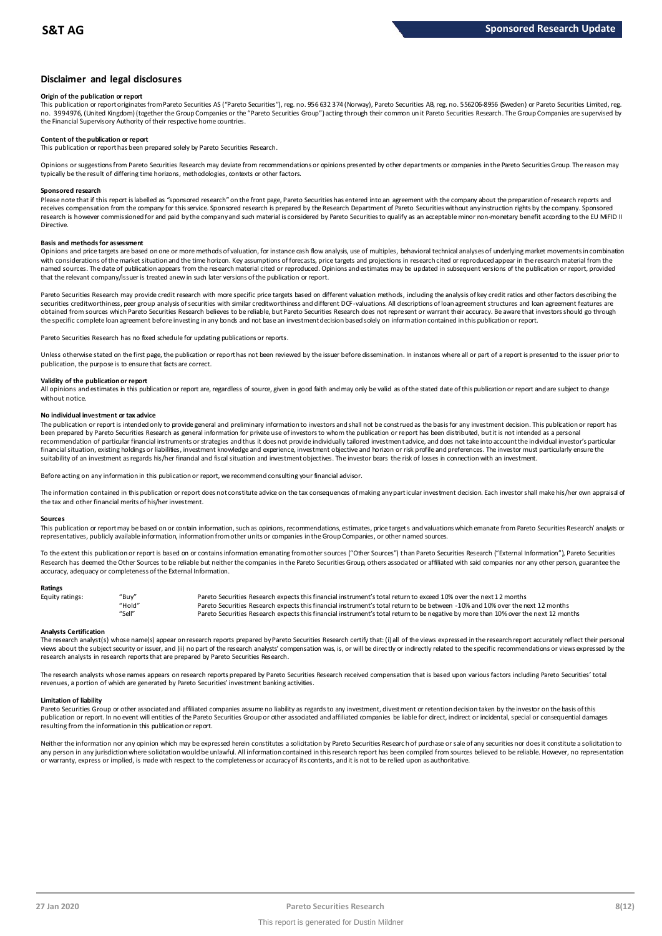## **Disclaimer and legal disclosures**

### **Origin of the publication or report**

This publication or report originates from Pareto Securities AS ("Pareto Securities"), reg. no. 956 632 374 (Norway), Pareto Securities AB, reg. no. 556206-8956 (Sweden) or Pareto Securities Limited, reg. no. 3994976, (United Kingdom) (together the Group Companies or the "Pareto Securities Group") acting through their common un it Pareto Securities Research. The Group Companies are supervised by the Financial Supervisory Authority of their respective home countries.

### **Content of the publication or report**

This publication or report has been prepared solely by Pareto Securities Research.

Opinions or suggestions from Pareto Securities Research may deviate from recommendations or opinions presented by other departments or companies in the Pareto Securities Group. The reason may typically be the result of differing time horizons, methodologies, contexts or other factors.

#### **Sponsored research**

Please note that if this report is labelled as "sponsored research" on the front page, Pareto Securities has entered into an agreement with the company about the preparation of research reports and receives compensation from the company for this service. Sponsored research is prepared by the Research Department of Pareto Securities without any instruction rights by the company. Sponsored research is however commissioned for and paid by the company and such material is considered by Pareto Securities to qualify as an acceptable minor non-monetary benefit according to the EU MiFID II Directive.

#### **Basis and methods for assessment**

Opinions and price targets are based on one or more methods of valuation, for instance cash flow analysis, use of multiples, behavioral technical analyses of underlying market movements in combination with considerations of the market situation and the time horizon. Key assumptions of forecasts, price targets and projections in research cited or reproduced appear in the research material from the named sources. The date of publication appears from the research material cited or reproduced. Opinions and estimates may be updated in subsequent versions of the publication or report, provided that the relevant company/issuer is treated anew in such later versions of the publication or report.

Pareto Securities Research may provide credit research with more specific price targets based on different valuation methods, including the analysis of key credit ratios and other factors describing the securities creditworthiness, peer group analysis of securities with similar creditworthiness and different DCF-valuations. All descriptions of loan agreement structures and loan agreement features are obtained from sources which Pareto Securities Research believes to be reliable, but Pareto Securities Research does not represent or warrant their accuracy. Be aware that investors should go through the specific complete loan agreement before investing in any bonds and not base an investment decision based solely on information contained in this publication or report.

Pareto Securities Research has no fixed schedule for updating publications or reports.

Unless otherwise stated on the first page, the publication or report has not been reviewed by the issuer before dissemination. In instances where all or part of a report is presented to the issuer prior to publication, the purpose is to ensure that facts are correct.

#### **Validity of the publication or report**

All opinions and estimates in this publication or report are, regardless of source, given in good faith and may only be valid as of the stated date of this publication or report and are subject to change without notice.

#### **No individual investment or tax advice**

The publication or report is intended only to provide general and preliminary information to investors and shall not be construed as the basis for any investment decision. This publication or report has been prepared by Pareto Securities Research as general information for private use of investors to whom the publication or report has been distributed, but it is not intended as a personal recommendation of partiɑɪlar financial instruments or strategies and thus it does not provide individually tailored investmen tadvice, and does not take into account the individual investor's particular<br>financial situation suitability of an investment as regards his/her financial and fiscal situation and investment objectives. The investor bears the risk of losses in connection with an investment.

Before acting on any information in this publication or report, we recommend consulting your financial advisor.

The information contained in this publication or report does not constitute advice on the tax consequences of making any particular investment decision. Each investor shall make his/her own appraisal of the tax and other financial merits of his/her investment.

#### **Sources**

This publication or report may be based on or contain information, such as opinions, recommendations, estimates, price targets and valuations which emanate from Pareto Securities Research' analysts or representatives, publicly available information, information from other units or companies in the Group Companies, or other named sources.

To the extent this publication or report is based on or contains information emanating from other sources ("Other Sources") than Pareto Securities Research ("External Information"), Pareto Securities Research has deemed the Other Sources to be reliable but neither the companies in the Pareto Securities Group, others associated or affiliated with said companies nor any other person, guarantee the accuracy, adequacy or completeness of the External Information.

#### **Ratings**

| Equity ratings: | "Buy"  | Pareto Securities Research expects this financial instrument's total return to exceed 10% over the next 12 months                   |
|-----------------|--------|-------------------------------------------------------------------------------------------------------------------------------------|
|                 | "Hold" | Pareto Securities Research expects this financial instrument's total return to be between -10% and 10% over the next 12 months      |
|                 | "Sell" | Pareto Securities Research expects this financial instrument's total return to be negative by more than 10% over the next 12 months |

Analysts Certification<br>The research analyst(s) whose name(s) appear on research reports prepared by Pareto Securities Research certify that: (i) all of the views expressed in the research report accurately reflect their pe "Hold" Pareto Securities Research expects this financial instrument's total return to be between -10% and 10% over the next 12 months<br>"Sell" Pareto Securities Research expects this financial instrument's total return to be research analysts in research reports that are prepared by Pareto Securities Research.

The research analysts whose names appears on research reports prepared by Pareto Securities Research received compensation that is based upon various factors including Pareto Securities' total revenues, a portion of which are generated by Pareto Securities' investment banking activities.

#### **Limitation of liability**

Pareto Securities Group or other associated and affiliated companies assume no liability as regards to any investment, divest ment or retention decision taken by the investor on the basis of this publication or report. In no event will entities of the Pareto Securities Group or other associated and affiliated companies be liable for direct, indirect or incidental, special or consequential damages resulting from the information in this publication or report.

Neither the information nor any opinion which may be expressed herein constitutes a soligitation by Pareto Securities Research of purchase or sale of any securities nor does it constitute a soligitation to any person in any jurisdiction where soligitation would be unlawful. All information contained in this research report has been compiled from sources believed to be reliable. However, no representation or warranty, express or implied, is made with respect to the completeness or accuracy of its contents, and it is not to be relied upon as authoritative.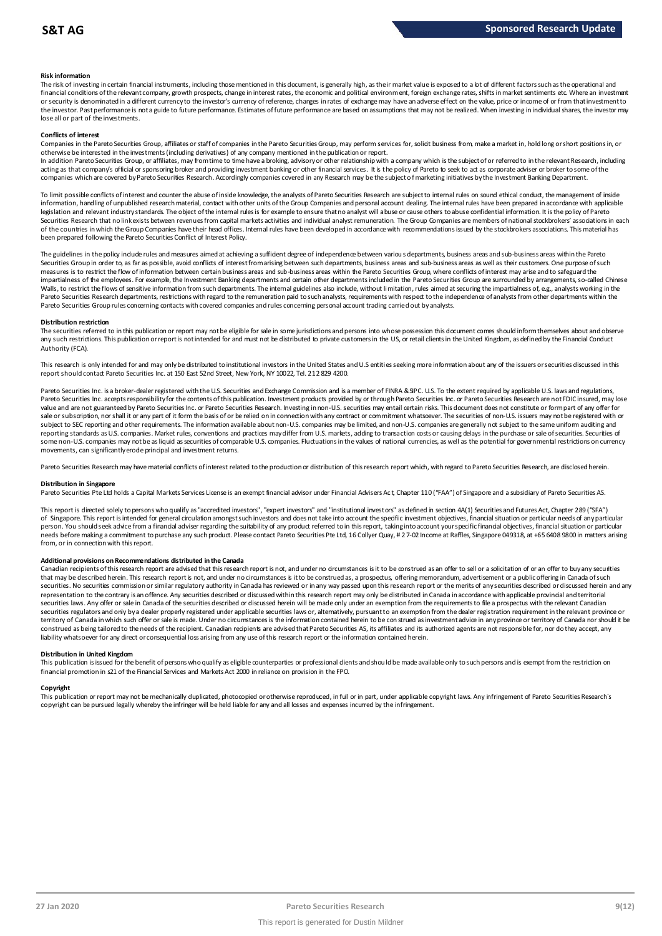### **Risk information**

The risk of investing in certain financial instruments, including those mentioned in this document, is generally high, as their market value is exposed to a lot of different factors such as the operational and financial conditions of the relevant company, growth prospects, change in interest rates, the economic and political environment, foreign exchange rates, shifts in market sentiments etc. Where an investment metally propert the investor. Past performance is not a guide to future performance. Estimates of future performance are based on assumptions that may not be realized. When investing in individual shares, the investor may lose all or part of the investments.

#### **Conflicts of interest**

Companies in the Pareto Securities Group, affiliates or staff of companies in the Pareto Securities Group, may perform services for, solicit business from, make a market in, hold long or short positions in, or otherwise be interested in the investments (including derivatives) of any company mentioned in the publication or report.

In addition Pareto Securities Group, or affiliates, may from time to time have a broking, advisory or other relationship with a company which is the subject of or referred to in the relevant Research, including acting as that company's official or sponsoring broker and providing investment banking or other financial services. It is the policy of Pareto to seek to act as corporate adviser or broker to some of the<br>companies which a

To limit possible conflicts of interest and counter the abuse of inside knowledge, the analysts of Pareto Securities Research are subject to internal rules on sound ethical conduct, the management of inside<br>information, ha legislation and relevant industry standards. The object of the internal rules is for example to ensure that no analyst will abuse or cause others to abuse confidential information. It is the policy of Pareto Securities Research that no link exists between revenues from capital markets activities and individual analyst remuneration. The Group Companies are members of national stockbrokers' associations in each of the countries in which the Group Companies have their head offices. Internal rules have been developed in accordance with recommendations issued by the stockbrokers associations. This material has been prepared following the Pareto Securities Conflict of Interest Policy.

The guidelines in the policy indude rules and measures aimed at achieving a sufficient degree of independence between various departments, business areas and sub-business areas within the Pareto<br>Securities Group in order t measures is to restrict the flow of information between certain business areas and sub-business areas within the Pareto Securities Group, where conflicts of interest may arise and to safeguard the impartialness of the empl The guidelines in the policy indude rules and measures aimed at achieving a sufficient degree of independence between various departments, business areas and sub-business areas within the Pareto<br>Securities Group in order t Walls, to restrict the flows of sensitive information from such departments. The internal guidelines also include, without limitation, rules aimed at securing the impartialness of, e.g., analysts working in the<br>Pareto Secu Pareto Securities Group rules concerning contacts with covered companies and rules concerning personal account trading carried out by analysts.

#### **Distribution restriction**

The securities referred to in this publication or report may not be eligible for sale in some jurisdictions and persons into whose possession this document comes should inform themselves about and observe Pareto Securities Group rules concerning contacts with covered companies and rules concerning personal account trading carried out by analysts.<br>Distribution restriction<br>The securities referred to in this publication or rep Authority (FCA).

This research is only intended for and may only be distributed to institutional investors in the United States and U.S entities seeking more information about any of the issuers or securities discussed in this report should contact Pareto Securities Inc. at 150 East 52nd Street, New York, NY 10022, Tel. 212 829 4200.

Pareto Securities Inc. is a broker-dealer registered with the U.S. Securities and Exchange Commission and is a member of FINRA & SIPC. U.S. To the extent required by applicable U.S. laws and regulations, Pareto Securities Inc. accepts responsibility for the contents of this publication. Investment products provided by or through Pareto Securities Inc. or Pareto Securities Research are not FDIC insured, may lose value and are not guaranteed by Pareto Securities Inc. or Pareto Securities Research. Investing in non-U.S. securities may entail certain risks. This document does not constitute or form part of any offer for sale or subscription, nor shall it or any part of it form the basis of or be relied on in connection with any contract or commitment whatsoever. The securities of non-U.S. issuers may not be registered with or subject to SEC reporting and other requirements. The information available about non-U.S. companies may be limited, and non-U.S. companies are generally not subject to the same uniform auditing and subject to the same unif reporting standards as U.S. companies. Market rules, conventions and practices may differ from U.S. markets, adding to transaction costs or causing delays in the purchase or sale of securities. Securities of some non-U.S. companies may not be as liquid as securities of comparable U.S. companies. Fluctuations in the values of national currencies, as well as the potential for governmental restrictions on currency movements, can significantly erode principal and investment returns.

Pareto Securities Research may have material conflicts of interest related to the production or distribution of this research report which, with regard to Pareto Securities Research, are disclosed herein.

#### **Distribution in Singapore**

Pareto Securities Pte Ltd holds a Capital Markets Services License is an exempt financial advisor under Financial Advisers Act, Chapter 110 ("FAA") of Singapore and a subsidiary of Pareto Securities AS.

This report is directed solely to persons who qualify as "accredited investors", "expert investors" and "institutional investors" as defined in section 4A(1) Securities and Futures Act, Chapter 289 ("SFA") Distribution in Singapore<br>Pareto Securities Pte Ltd holds a Capital Markets Services License is an exempt financial advisor under Financial Advisers Act, Chapter 110 ("FAA") of Singapore and a subsidiary of Pareto Securiti person. You should seek advice from a financial adviser regarding the suitability of any product referred to in this report, taking into account your specific financial objectives, financial situation or particular needs before making a commitment to purchase any such product. Please contact Pareto Securities Pte Ltd, 16 Collyer Quay, # 2 7-02 Income at Raffles, Singapore 049318, at +65 6408 9800 in matters arising from, or in connection with this report.

#### **Additional provisions on Recommendations distributed in the Canada**

needs before making a commitment to purchase any such product. Please contact Pareto Securities Pte Ltd, 16 Collyer Quay, #2 7-02 Income at Raffles, Singapore 049318, at +65 6408 9800 in matters arisi<br>from, or in connectio from, or in connection with this report.<br>Additional provisions on Recommendations distributed in the Canada<br>Canadian recipients of this research report are advised that this research report is not, and under no circumstanc securities. No securities commission or similar regulatory authority in Canada has reviewed or in any way passed upon this research report or the merits of any securities described or discussed herein and any representation to the contrary is an offence. Any securities described or discussed within this research report may only be distributed in Canada in accordance with applicable provincial and territorial securities laws. Any offer or sale in Canada of the securities described or discussed herein will be made only under an exemption from the requirements to file a prospectus with the relevant Canadian securities regulators and only by a dealer properly registered under applicable securities laws or, alternatively, pursuant to an exemption from the dealer registration requirement in the relevant province or territory of Canada in which such offer or sale is made. Under no circumstances is the information contained herein to be con strued as investment advice in any province or territory of Canada nor should it be construed as being tailored to the needs of the recipient. Canadian redpients are advised that Pareto Securities AS, its affiliates and its authorized agents are not responsible for, nor do they accept, any liability whatsoever for any direct or consequential loss arising from any use of this research report or the information contained herein.

#### **Distribution in United Kingdom**

This publication is issued for the benefit of persons who qualify as eligible counterparties or professional dients and should be made available only to such persons and is exempt from the restriction on financial promotion in s21 of the Financial Services and Markets Act 2000 in reliance on provision in the FPO.

#### **Copyright**

This publication or report may not be mechanically duplicated, photocopied or otherwise reproduced, in full or in part, under applicable copyright laws. Any infringement of Pareto Securities Research's copyright can be pursued legally whereby the infringer will be held liable for any and all losses and expenses incurred by the infringement.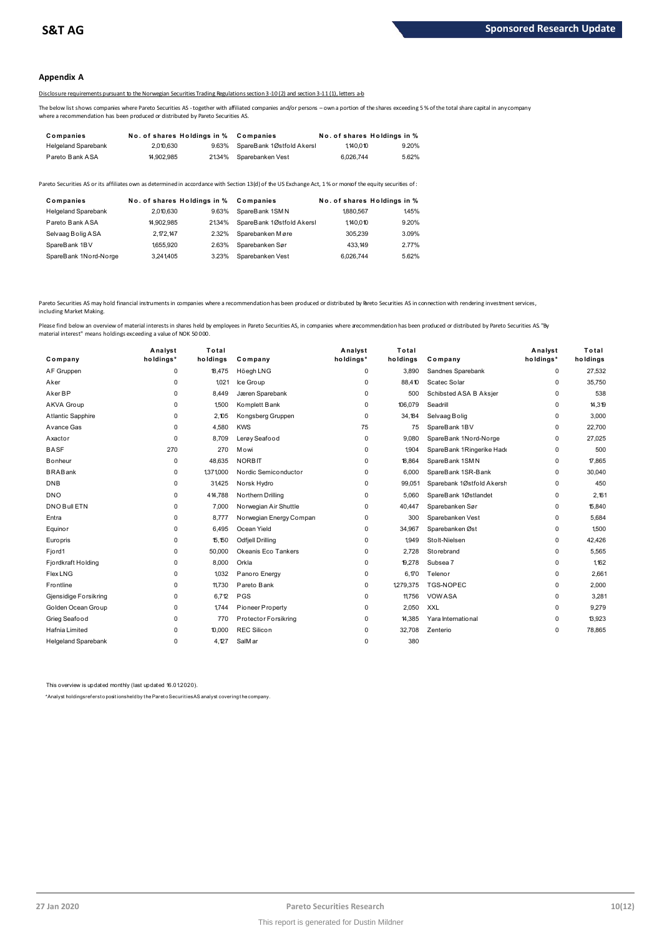## **Appendix A**

# Disclosure requirements pursuant to the Norwegian Securities Trading Regulations section 3-10 (2) and section 3-11 (1), letters a-b

The below list shows companies where Pareto Securities AS -together with affiliated companies and/or persons – own a portion of the shares exceeding 5 % of the total share capital in any company where a recommendation has been produced or distributed by Pareto Securities AS.

| Companies                  | No. of shares Holdings in % |       | Companies                 |           | No. of shares Holdings in % |
|----------------------------|-----------------------------|-------|---------------------------|-----------|-----------------------------|
| <b>Helgeland Sparebank</b> | 2,010,630                   | 9.63% | SpareBank 1Østfold Akersl | 1,140.010 | 9.20%                       |
| Pareto Bank ASA            | 14.902.985                  | 2134% | Sparebanken Vest          | 6.026.744 | 5.62%                       |

| <b>I GIGLY DAIIN AVA</b>   | <b>H.JUL.JUJ</b>            | <b>4.</b> UT / U | <b>UDAIGDAINGILYGJL</b>                                                                                                                                 | <b>0.040.1 TT</b>           | 0.0270 |  |
|----------------------------|-----------------------------|------------------|---------------------------------------------------------------------------------------------------------------------------------------------------------|-----------------------------|--------|--|
|                            |                             |                  | areto Securities AS or its affiliates own as determined in accordance with Section 13(d) of the US Exchange Act, 1% or moreof the equity securities of: |                             |        |  |
| Companies                  | No. of shares Holdings in % |                  | Companies                                                                                                                                               | No. of shares Holdings in % |        |  |
| <b>Helgeland Sparebank</b> | 2.010.630                   | 9.63%            | SpareBank 1SMN                                                                                                                                          | 1880.567                    | 145%   |  |
| Pareto Bank ASA            | 14.902.985                  | 2134%            | SpareBank 1Østfold Akersl                                                                                                                               | 1.140.010                   | 9.20%  |  |
| Selvaag Bolig ASA          | 2,172,147                   | 2.32%            | Sparebanken Møre                                                                                                                                        | 305,239                     | 3.09%  |  |
| SpareBank 1BV              | 1655.920                    | 2.63%            | Sparebanken Sør                                                                                                                                         | 433.149                     | 2.77%  |  |
| SpareBank 1Nord-Norge      | 3.241.405                   | 3.23%            | Sparebanken Vest                                                                                                                                        | 6.026.744                   | 5.62%  |  |

Pareto Securities AS may hold financial instruments in companies where a recommendation has been produced or distributed by Pareto Securities AS in connection with rendering investment services, including Market Making.

| Company                    | Analyst<br>holdings* | Total<br>holdings | Company                 | Analyst<br>holdings* | Total<br>holdings | Company                   | Analyst<br>holdings* | Total<br>holdings |
|----------------------------|----------------------|-------------------|-------------------------|----------------------|-------------------|---------------------------|----------------------|-------------------|
| AF Gruppen                 | $\mathbf 0$          | 18,475            | Höegh LNG               | 0                    | 3.890             | Sandnes Sparebank         | 0                    | 27,532            |
| Aker                       | $\mathbf 0$          | 1.021             | Ice Group               | 0                    | 88.410            | Scatec Solar              | 0                    | 35,750            |
| Aker BP                    | $\mathbf 0$          | 8.449             | Jæren Sparebank         | 0                    | 500               | Schibsted ASA B Aksjer    | 0                    | 538               |
| AKVA Group                 | $\mathbf 0$          | 1500              | Komplett Bank           | 0                    | 106,079           | Seadrill                  | 0                    | 14,319            |
| Atlantic Sapphire          | $\Omega$             | 2.105             | Kongsberg Gruppen       | 0                    | 34.184            | Selvaag Bolig             | 0                    | 3,000             |
| Avance Gas                 | 0                    | 4,580             | <b>KWS</b>              | 75                   | 75                | SpareBank 1BV             | 0                    | 22,700            |
| Axactor                    | $\Omega$             | 8.709             | Lerøy Seafood           | 0                    | 9.080             | SpareBank 1Nord-Norge     | 0                    | 27,025            |
| <b>BASF</b>                | 270                  | 270               | Mowi                    | 0                    | 1904              | SpareBank 1Ringerike Hade | 0                    | 500               |
| <b>B</b> onheur            | $\mathbf 0$          | 48.635            | <b>NORBIT</b>           | 0                    | 18.864            | SpareBank 1SMN            | 0                    | 17,865            |
| <b>BRABank</b>             | 0                    | 1371000           | Nordic Semiconductor    | 0                    | 6.000             | SpareBank 1SR-Bank        | 0                    | 30,040            |
| <b>DNB</b>                 | $\mathbf 0$          | 31,425            | Norsk Hydro             | 0                    | 99,051            | Sparebank 1Østfold Akersh | 0                    | 450               |
| <b>DNO</b>                 | $\mathbf 0$          | 414,788           | Northern Drilling       | $\mathbf 0$          | 5.060             | SpareBank 1Østlandet      | 0                    | 2.161             |
| DNO Bull ETN               | $\mathbf 0$          | 7.000             | Norwegian Air Shuttle   | 0                    | 40,447            | Sparebanken Sør           | 0                    | 15,840            |
| Entra                      | 0                    | 8.777             | Norwegian Energy Compan | 0                    | 300               | Sparebanken Vest          | 0                    | 5.684             |
| Equinor                    | $\mathbf 0$          | 6.495             | Ocean Yield             | 0                    | 34.967            | Sparebanken Øst           | 0                    | 1.500             |
| Europris                   | $\mathbf 0$          | 15,150            | <b>Odfjell Drilling</b> | 0                    | 1,949             | Stolt-Nielsen             | 0                    | 42,426            |
| Fjord1                     | $\mathbf 0$          | 50,000            | Okeanis Eco Tankers     | 0                    | 2,728             | Storebrand                | 0                    | 5,565             |
| Fjordkraft Holding         | 0                    | 8,000             | Orkla                   | 0                    | 19,278            | Subsea 7                  | 0                    | 1,162             |
| <b>Flex LNG</b>            | $\Omega$             | 1,032             | Panoro Energy           | 0                    | 6,170             | Telenor                   | 0                    | 2,661             |
| Frontline                  | $\mathbf 0$          | 11,730            | Pareto Bank             | 0                    | 1,279,375         | TGS-NOPEC                 | 0                    | 2,000             |
| Gjensidige Forsikring      | $\mathbf 0$          | 6,712             | PGS                     | 0                    | 11,756            | <b>VOWASA</b>             | 0                    | 3,281             |
| Golden Ocean Group         | $\Omega$             | 1744              | Pioneer Property        | 0                    | 2,050             | <b>XXL</b>                | 0                    | 9,279             |
| Grieg Seafood              | $\mathbf 0$          | 770               | Protector Forsikring    | 0                    | 14,385            | Yara International        | 0                    | 13,923            |
| Hafnia Limited             | $\mathbf 0$          | 10,000            | <b>REC Silicon</b>      | 0                    | 32,708            | Zenterio                  | 0                    | 78,865            |
| <b>Helgeland Sparebank</b> | 0                    | 4.127             | SalMar                  | 0                    | 380               |                           |                      |                   |

This overview is updated monthly (last updated 16.01.2020).

\*Analyst holdings ref ers t o posit ions held by t he Paret o Securit ies AS analyst covering t he company.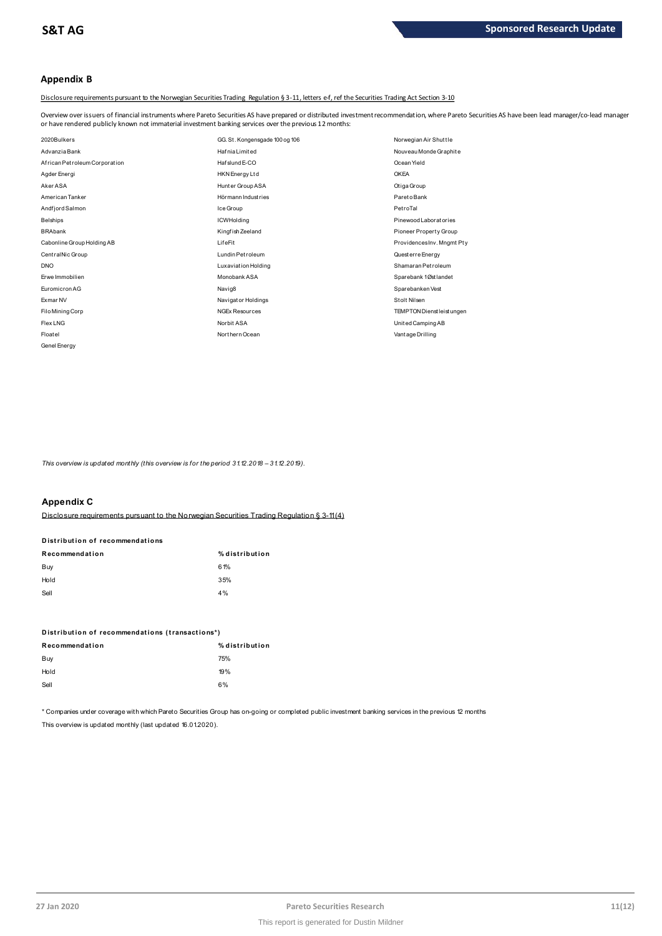# **Appendix B**

Disclosure requirements pursuant to the Norwegian Securities Trading Regulation § 3-11, letters e-f, ref the Securities Trading Act Section 3-10

Overview over issuers of financial instruments where Pareto Securities AS have prepared or distributed investment recommendation, where Pareto Securities AS have been lead manager/co-lead manager<br>or have rendered publicly

| or have rendered publicly known not immaterial investment banking services over the previous 12 months: |                                |                            |
|---------------------------------------------------------------------------------------------------------|--------------------------------|----------------------------|
| 2020Bulkers                                                                                             | GG. St. Kongensgade 100 og 106 | Norwegian Air Shuttle      |
| Advanzia Bank                                                                                           | <b>HafniaLimited</b>           | Nouveau Monde Graphite     |
| African Petroleum Corporation                                                                           | Hafslund E-CO                  | Ocean Yield                |
| Agder Energi                                                                                            | HKN Energy Ltd                 | <b>OKEA</b>                |
| Aker ASA                                                                                                | Hunter Group ASA               | Otiga Group                |
| American Tanker                                                                                         | Hörmann Industries             | Pareto Bank                |
| Andfjord Salmon                                                                                         | Ice Group                      | PetroTal                   |
| <b>Belships</b>                                                                                         | <b>ICWHolding</b>              | Pinewood Laboratories      |
| <b>BRAbank</b>                                                                                          | Kingfish Zeeland               | Pioneer Property Group     |
| Cabonline Group Holding AB                                                                              | LifeFit                        | ProvidencesInv. Mngmt Pty  |
| CentralNic Group                                                                                        | Lundin Petroleum               | Quest erre Energy          |
| <b>DNO</b>                                                                                              | Luxaviation Holding            | Shamaran Petroleum         |
| Erwe Immobilien                                                                                         | Monobank ASA                   | Sparebank 1Østlandet       |
| Euromicron AG                                                                                           | Navig8                         | Sparebanken Vest           |
| Exmar NV                                                                                                | Navigator Holdings             | Stolt Nilsen               |
| Filo Mining Corp                                                                                        | <b>NGEx Resources</b>          | TEMPTON Dienst leist ungen |
| Flex LNG                                                                                                | Norbit ASA                     | United Camping AB          |
| Floatel                                                                                                 | Northern Ocean                 | Vant age Drilling          |
| Genel Energy                                                                                            |                                |                            |

*This overview is updated monthly (this overview is for the period 3 1.12.2018 – 3 1.12.2019).*

# **Appendix C**

Disclosure requirements pursuant to the Norwegian Securities Trading Regulation § 3-11 (4)

# **Distribution of recommendations Disclosure requirements pursuant to<br>Distribution of recommendations**<br> $\begin{bmatrix} 0 & 0 \\ 0 & 0 \end{bmatrix}$

| Recommendation | % distribution |
|----------------|----------------|
| Buy            | 61%            |
| Hold           | 35%            |
| Sell           | 4%             |
|                |                |

| ---                                             |                |
|-------------------------------------------------|----------------|
| Distribution of recommendations (transactions*) |                |
| Recommendation                                  | % distribution |
| Buy                                             | 75%            |
| Hold                                            | 19%            |
| Sell                                            | 6%             |
|                                                 |                |

\* Companies under coverage with which Pareto Securities Group has on-going or completed public investment banking services in the previous 12 months This overview is updated monthly (last updated 16.01.2020).